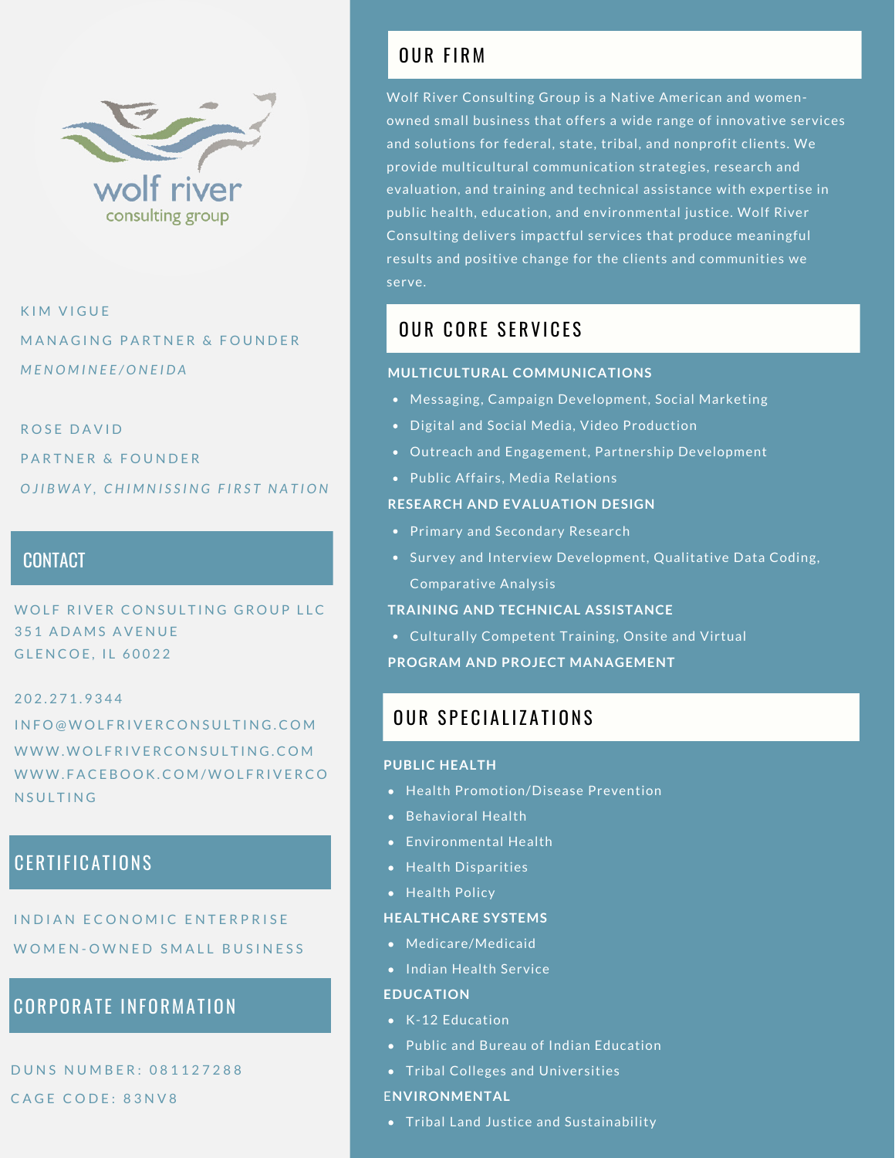

K IM VIGUE MANAGING PARTNER & FOUNDER *M E N O M I N E E / O N E I D A*

### ROSE DAVID

PARTNER & FOUNDER OJIBWAY, CHIMNISSING FIRST NATION

### **CONTACT**

O LENE AN ENTERTE.<br>GLENCOE, IL 60022 WOLF RIVER CONSULTING GROUP LLC **351 ADAMS AVENUE** 

### 2 0 2 . 2 7 1 . 9 3 4 4

I N F O @ W O L F R I V E R C O N S U L T I N G . C O M WWW.WOLFRIVERCONSULTING.COM WWW.FACEBOOK.COM/WOLFRIVERCO N SULTING

## **CERTIFICATIONS**

INDIAN FCONOMIC ENTERPRISE WOMEN-OWNED SMALL BUSINESS

### **CORPORATE INFORMATION**

DUNS NUMBER: 081127288 CAGE CODE: 83NV8

## OUR FIRM

Wolf River Consulting Group is a Native American and womenowned small business that offers a wide range of innovative services and solutions for federal, state, tribal, and nonprofit clients. We provide multicultural communication strategies, research and evaluation, and training and technical assistance with expertise in public health, education, and environmental justice. Wolf River Consulting delivers impactful services that produce meaningful results and positive change for the clients and communities we serve.

### OUR CORF SERVICES

### **MULTICULTURAL COMMUNICATIONS**

- Messaging, Campaign Development, Social Marketing
- Digital and Social Media, Video Production
- Outreach and Engagement, Partnership Development
- Public Affairs, Media Relations

### **RESEARCH AND EVALUATION DESIGN**

- Primary and Secondary Research
- Survey and Interview Development, Qualitative Data Coding, Comparative Analysis

### **TRAINING AND TECHNICAL ASSISTANCE**

Culturally Competent Training, Onsite and Virtual

**PROGRAM AND PROJECT MANAGEMENT**

## **OUR SPECIALIZATIONS**

### **PUBLIC HEALTH**

- Health Promotion/Disease Prevention
- Behavioral Health
- Environmental Health
- Health Disparities
- Health Policy

### **HEALTHCARE SYSTEMS**

- Medicare/Medicaid
- Indian Health Service

### **EDUCATION**

- K-12 Education
- Public and Bureau of Indian Education
- Tribal Colleges and Universities

### E**NVIRONMENTAL**

**•** Tribal Land Justice and Sustainability